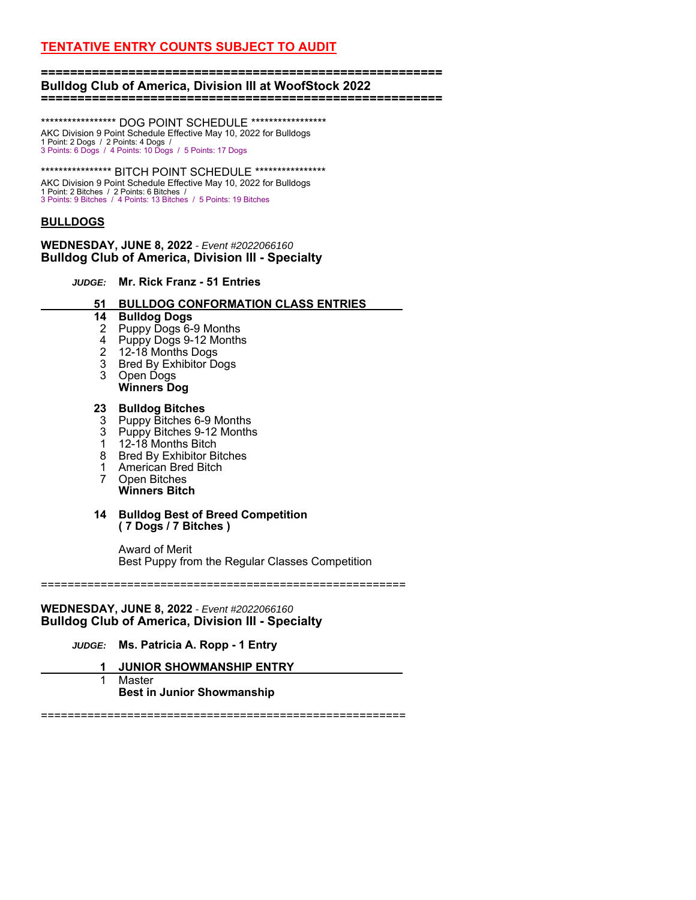#### **======================================================= Bulldog Club of America, Division III at WoofStock 2022 =======================================================**

\*\*\*\*\*\*\*\*\*\*\*\*\*\*\*\*\* DOG POINT SCHEDULE \*\*\*\*\*\*\*\*\*\*\*\*\*\*\*\*\* AKC Division 9 Point Schedule Effective May 10, 2022 for Bulldogs 1 Point: 2 Dogs / 2 Points: 4 Dogs / 3 Points: 6 Dogs / 4 Points: 10 Dogs / 5 Points: 17 Dogs

\*\*\*\*\*\*\*\*\*\*\*\*\*\*\*\*\*\*\*\* BITCH POINT SCHEDULE \*\*\*\*\*\*\*\*\*\*\*\*\*\*\*\*\* AKC Division 9 Point Schedule Effective May 10, 2022 for Bulldogs 1 Point: 2 Bitches / 2 Points: 6 Bitches / 3 Points: 9 Bitches / 4 Points: 13 Bitches / 5 Points: 19 Bitches

# **BULLDOGS**

**WEDNESDAY, JUNE 8, 2022** *- Event #2022066160* **Bulldog Club of America, Division III - Specialty** 

*JUDGE:* **Mr. Rick Franz - 51 Entries**

 **51 BULLDOG CONFORMATION CLASS ENTRIES \_**

## **14 Bulldog Dogs**

- 2 Puppy Dogs 6-9 Months
	- 4 Puppy Dogs 9-12 Months
	- 2 12-18 Months Dogs
	- 3 Bred By Exhibitor Dogs<br>3 Open Dogs
	- Open Dogs
	- **Winners Dog**

## **23 Bulldog Bitches**

- 3 Puppy Bitches 6-9 Months
- 3 Puppy Bitches 9-12 Months
- 1 12-18 Months Bitch
- 8 Bred By Exhibitor Bitches
- 1 American Bred Bitch
- 7 Open Bitches  **Winners Bitch**

#### **14 Bulldog Best of Breed Competition ( 7 Dogs / 7 Bitches )**

 Award of Merit Best Puppy from the Regular Classes Competition

=======================================================

# **WEDNESDAY, JUNE 8, 2022** *- Event #2022066160* **Bulldog Club of America, Division III - Specialty**

*JUDGE:* **Ms. Patricia A. Ropp - 1 Entry**

- **1 JUNIOR SHOWMANSHIP ENTRY \_**
- 1 Master  **Best in Junior Showmanship**

=======================================================